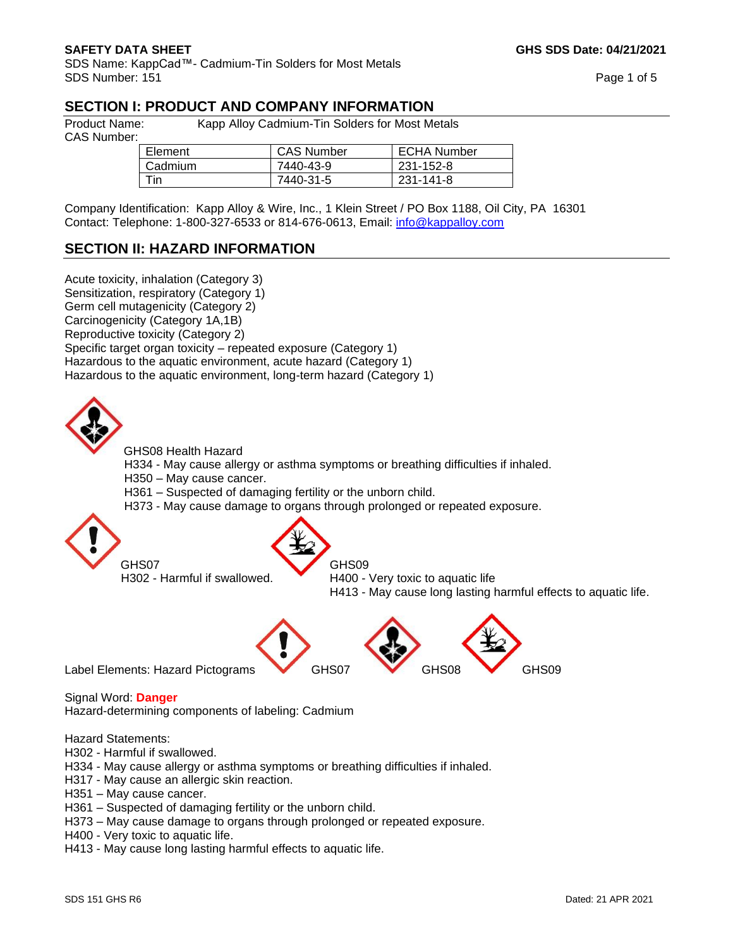SDS Name: KappCad™- Cadmium-Tin Solders for Most Metals SDS Number: 151 Page 1 of 5

### **SECTION I: PRODUCT AND COMPANY INFORMATION**

CAS Number:

Product Name: Kapp Alloy Cadmium-Tin Solders for Most Metals

| Element | <b>CAS Number</b> | ECHA Number |
|---------|-------------------|-------------|
| Cadmium | 7440-43-9         | 231-152-8   |
| ⊤in∶    | 7440-31-5         | 231-141-8   |

Company Identification: Kapp Alloy & Wire, Inc., 1 Klein Street / PO Box 1188, Oil City, PA 16301 Contact: Telephone: 1-800-327-6533 or 814-676-0613, Email: [info@kappalloy.com](mailto:info@kappalloy.com)

### **SECTION II: HAZARD INFORMATION**

Acute toxicity, inhalation (Category 3) Sensitization, respiratory (Category 1) Germ cell mutagenicity (Category 2) Carcinogenicity (Category 1A,1B) Reproductive toxicity (Category 2) Specific target organ toxicity – repeated exposure (Category 1) Hazardous to the aquatic environment, acute hazard (Category 1) Hazardous to the aquatic environment, long-term hazard (Category 1)



GHS08 Health Hazard

H334 - May cause allergy or asthma symptoms or breathing difficulties if inhaled.

- H350 May cause cancer.
- H361 Suspected of damaging fertility or the unborn child.
- H373 May cause damage to organs through prolonged or repeated exposure.



GHS07 GHS09

H302 - Harmful if swallowed. H400 - Very toxic to aquatic life H413 - May cause long lasting harmful effects to aquatic life.

Label Elements: Hazard Pictograms GHS07 GHS08 GHS09

Signal Word: **Danger** 

Hazard-determining components of labeling: Cadmium

Hazard Statements:

- H302 Harmful if swallowed.
- H334 May cause allergy or asthma symptoms or breathing difficulties if inhaled.
- H317 May cause an allergic skin reaction.
- H351 May cause cancer.
- H361 Suspected of damaging fertility or the unborn child.
- H373 May cause damage to organs through prolonged or repeated exposure.
- H400 Very toxic to aquatic life.
- H413 May cause long lasting harmful effects to aquatic life.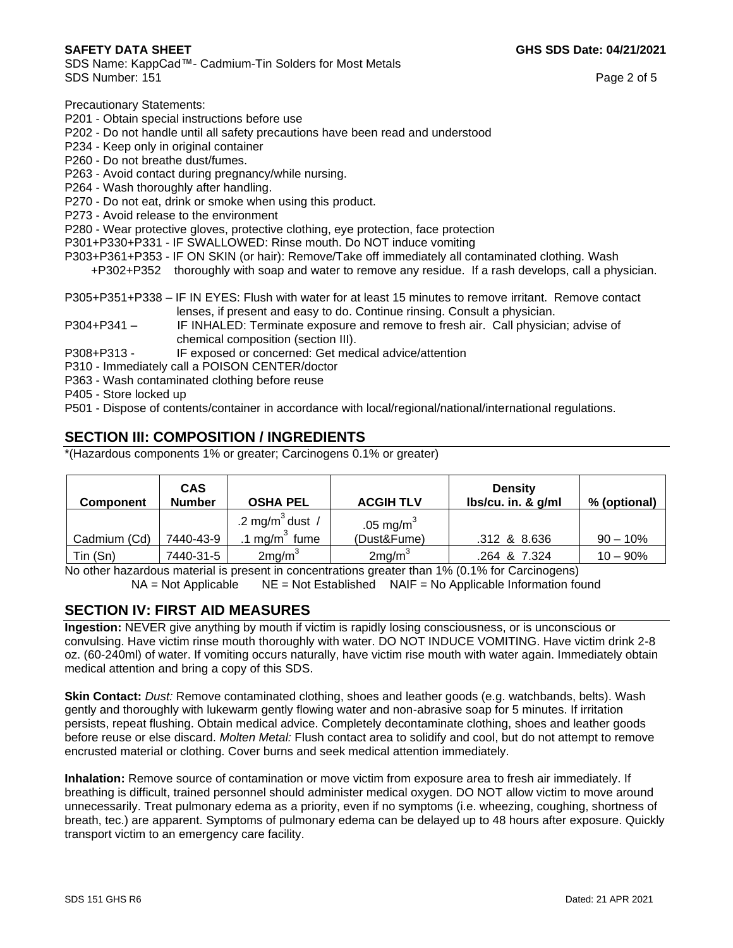SDS Name: KappCad™- Cadmium-Tin Solders for Most Metals SDS Number: 151 Page 2 of 5

Precautionary Statements:

- P201 Obtain special instructions before use
- P202 Do not handle until all safety precautions have been read and understood
- P234 Keep only in original container
- P260 Do not breathe dust/fumes.
- P263 Avoid contact during pregnancy/while nursing.
- P264 Wash thoroughly after handling.
- P270 Do not eat, drink or smoke when using this product.
- P273 Avoid release to the environment
- P280 Wear protective gloves, protective clothing, eye protection, face protection
- P301+P330+P331 IF SWALLOWED: Rinse mouth. Do NOT induce vomiting
- P303+P361+P353 IF ON SKIN (or hair): Remove/Take off immediately all contaminated clothing. Wash +P302+P352 thoroughly with soap and water to remove any residue. If a rash develops, call a physician.
- P305+P351+P338 IF IN EYES: Flush with water for at least 15 minutes to remove irritant. Remove contact lenses, if present and easy to do. Continue rinsing. Consult a physician.
- P304+P341 IF INHALED: Terminate exposure and remove to fresh air. Call physician; advise of chemical composition (section III).
- P308+P313 IF exposed or concerned: Get medical advice/attention
- P310 Immediately call a POISON CENTER/doctor
- P363 Wash contaminated clothing before reuse
- P405 Store locked up
- P501 Dispose of contents/container in accordance with local/regional/national/international regulations.

# **SECTION III: COMPOSITION / INGREDIENTS**

\*(Hazardous components 1% or greater; Carcinogens 0.1% or greater)

| <b>Component</b> | <b>CAS</b><br><b>Number</b> | <b>OSHA PEL</b>             | <b>ACGIH TLV</b>   | <b>Density</b><br>$lbs/cu$ . in. & $g/ml$ | % (optional) |
|------------------|-----------------------------|-----------------------------|--------------------|-------------------------------------------|--------------|
|                  |                             | .2 mg/m <sup>3</sup> dust / | .05 mg/ $m^3$      |                                           |              |
| Cadmium (Cd)     | 7440-43-9                   | $mg/m3$ fume                | (Dust&Fume)        | .312 & 8.636                              | $90 - 10\%$  |
| Tin (Sn)         | 7440-31-5                   | 2mg/m <sup>3</sup>          | 2mg/m <sup>3</sup> | .264 & 7.324                              | $10 - 90\%$  |

No other hazardous material is present in concentrations greater than 1% (0.1% for Carcinogens)  $NA = Not$  Applicable NE = Not Established NAIF = No Applicable Information found

## **SECTION IV: FIRST AID MEASURES**

**Ingestion:** NEVER give anything by mouth if victim is rapidly losing consciousness, or is unconscious or convulsing. Have victim rinse mouth thoroughly with water. DO NOT INDUCE VOMITING. Have victim drink 2-8 oz. (60-240ml) of water. If vomiting occurs naturally, have victim rise mouth with water again. Immediately obtain medical attention and bring a copy of this SDS.

**Skin Contact:** *Dust:* Remove contaminated clothing, shoes and leather goods (e.g. watchbands, belts). Wash gently and thoroughly with lukewarm gently flowing water and non-abrasive soap for 5 minutes. If irritation persists, repeat flushing. Obtain medical advice. Completely decontaminate clothing, shoes and leather goods before reuse or else discard. *Molten Metal:* Flush contact area to solidify and cool, but do not attempt to remove encrusted material or clothing. Cover burns and seek medical attention immediately.

**Inhalation:** Remove source of contamination or move victim from exposure area to fresh air immediately. If breathing is difficult, trained personnel should administer medical oxygen. DO NOT allow victim to move around unnecessarily. Treat pulmonary edema as a priority, even if no symptoms (i.e. wheezing, coughing, shortness of breath, tec.) are apparent. Symptoms of pulmonary edema can be delayed up to 48 hours after exposure. Quickly transport victim to an emergency care facility.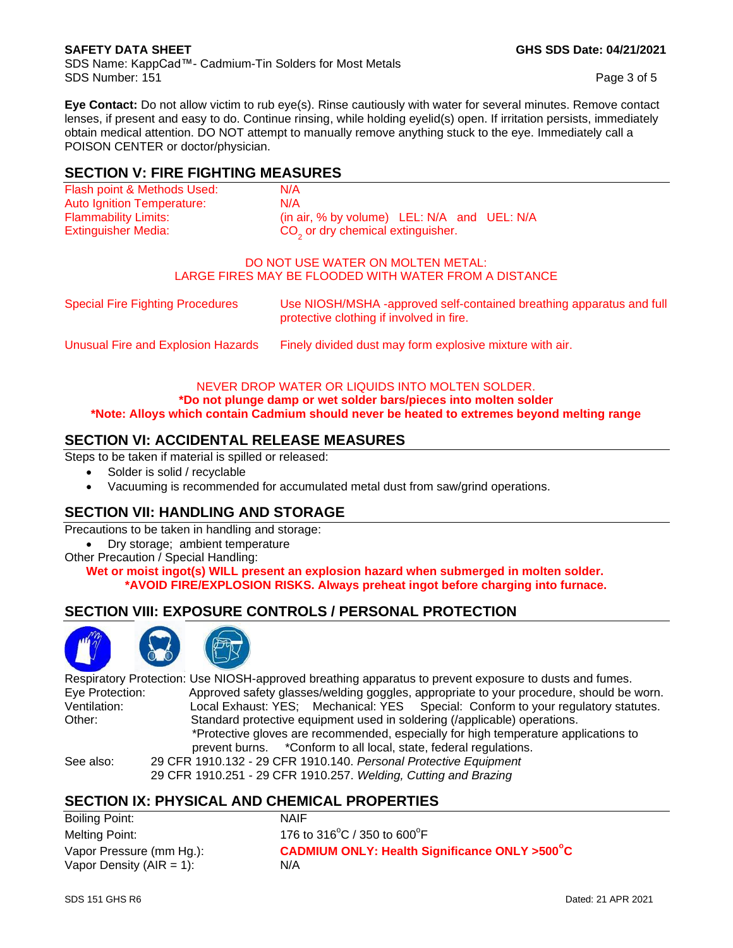SDS Name: KappCad™- Cadmium-Tin Solders for Most Metals SDS Number: 151 Page 3 of 5

**Eye Contact:** Do not allow victim to rub eye(s). Rinse cautiously with water for several minutes. Remove contact lenses, if present and easy to do. Continue rinsing, while holding eyelid(s) open. If irritation persists, immediately obtain medical attention. DO NOT attempt to manually remove anything stuck to the eye. Immediately call a POISON CENTER or doctor/physician.

# **SECTION V: FIRE FIGHTING MEASURES**

| Flash point & Methods Used: | N/A                                           |  |
|-----------------------------|-----------------------------------------------|--|
| Auto Ignition Temperature:  | N/A                                           |  |
| <b>Flammability Limits:</b> | (in air, % by volume) LEL: N/A and UEL: N/A   |  |
| Extinguisher Media:         | CO <sub>2</sub> or dry chemical extinguisher. |  |

#### DO NOT USE WATER ON MOLTEN METAL: LARGE FIRES MAY BE FLOODED WITH WATER FROM A DISTANCE

| Special Fire Fighting Procedures   | Use NIOSH/MSHA -approved self-contained breathing apparatus and full<br>protective clothing if involved in fire. |
|------------------------------------|------------------------------------------------------------------------------------------------------------------|
| Unusual Fire and Explosion Hazards | Finely divided dust may form explosive mixture with air.                                                         |

#### NEVER DROP WATER OR LIQUIDS INTO MOLTEN SOLDER. **\*Do not plunge damp or wet solder bars/pieces into molten solder**

**\*Note: Alloys which contain Cadmium should never be heated to extremes beyond melting range** 

# **SECTION VI: ACCIDENTAL RELEASE MEASURES**

Steps to be taken if material is spilled or released:

- Solder is solid / recyclable
- Vacuuming is recommended for accumulated metal dust from saw/grind operations.

## **SECTION VII: HANDLING AND STORAGE**

Precautions to be taken in handling and storage:

- Dry storage; ambient temperature
- Other Precaution / Special Handling:

**Wet or moist ingot(s) WILL present an explosion hazard when submerged in molten solder. \*AVOID FIRE/EXPLOSION RISKS. Always preheat ingot before charging into furnace.**

## **SECTION VIII: EXPOSURE CONTROLS / PERSONAL PROTECTION**



Respiratory Protection: Use NIOSH-approved breathing apparatus to prevent exposure to dusts and fumes. Eye Protection: Approved safety glasses/welding goggles, appropriate to your procedure, should be worn.<br>Ventilation: Jocal Exhaust: YES: Mechanical: YES: Special: Conform to your requilatory statutes Local Exhaust: YES: Mechanical: YES Special: Conform to your regulatory statutes. Other: Standard protective equipment used in soldering (/applicable) operations. \*Protective gloves are recommended, especially for high temperature applications to prevent burns. \*Conform to all local, state, federal regulations. See also: 29 CFR 1910.132 - 29 CFR 1910.140. *Personal Protective Equipment*

29 CFR 1910.251 - 29 CFR 1910.257. *Welding, Cutting and Brazing*

## **SECTION IX: PHYSICAL AND CHEMICAL PROPERTIES**

Boiling Point: NAIF Melting Point: Vapor Density  $(AIR = 1)$ :  $N/A$ 

 $C / 350$  to  $600^{\circ}$ F Vapor Pressure (mm Hg.): **CADMIUM ONLY: Health Significance ONLY >500<sup>°</sup>C**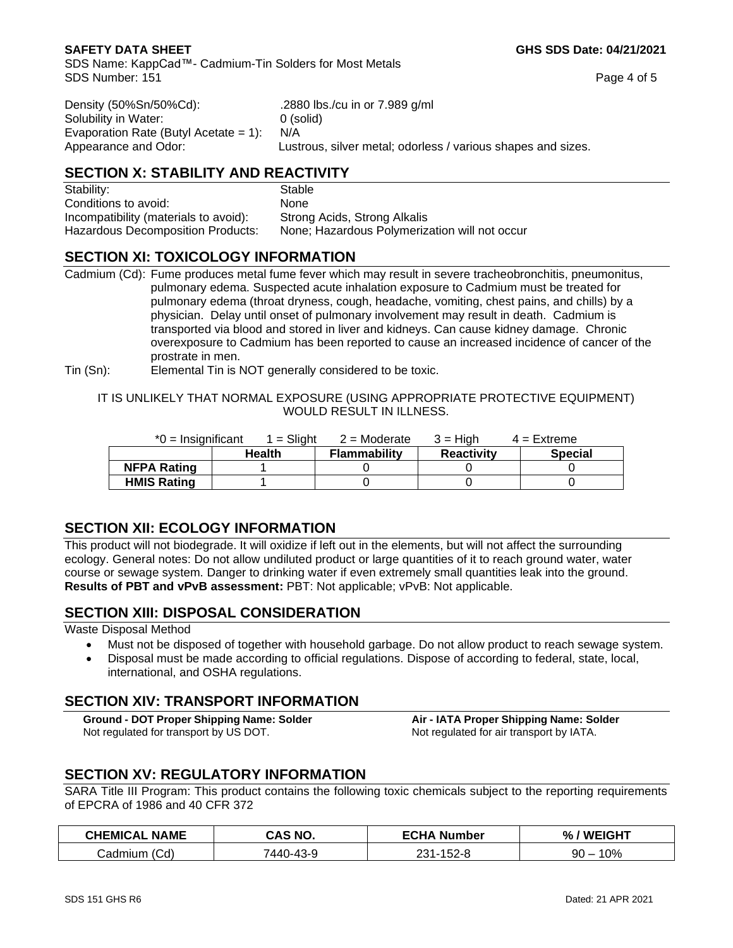SDS Name: KappCad™- Cadmium-Tin Solders for Most Metals SDS Number: 151 Page 4 of 5

| Density (50%Sn/50%Cd):                   | 288. |
|------------------------------------------|------|
| Solubility in Water:                     | 0 (s |
| Evaporation Rate (Butyl Acetate = $1$ ): | N/A  |
| Appearance and Odor:                     | Lust |

880 lbs./cu in or 7.989 g/ml solid) strous, silver metal; odorless / various shapes and sizes.

# **SECTION X: STABILITY AND REACTIVITY**

Stability: Stable Stable Conditions to avoid: None Incompatibility (materials to avoid): Strong Acids, Strong Alkalis

Hazardous Decomposition Products: None; Hazardous Polymerization will not occur

# **SECTION XI: TOXICOLOGY INFORMATION**

Cadmium (Cd): Fume produces metal fume fever which may result in severe tracheobronchitis, pneumonitus, pulmonary edema. Suspected acute inhalation exposure to Cadmium must be treated for pulmonary edema (throat dryness, cough, headache, vomiting, chest pains, and chills) by a physician. Delay until onset of pulmonary involvement may result in death. Cadmium is transported via blood and stored in liver and kidneys. Can cause kidney damage. Chronic overexposure to Cadmium has been reported to cause an increased incidence of cancer of the prostrate in men.

Tin (Sn): Elemental Tin is NOT generally considered to be toxic.

#### IT IS UNLIKELY THAT NORMAL EXPOSURE (USING APPROPRIATE PROTECTIVE EQUIPMENT) WOULD RESULT IN ILLNESS.

| $*0 =$ Insignificant | 1 = Sliaht    | $2$ = Moderate      | $3 =$ High        | $4 =$ Extreme  |
|----------------------|---------------|---------------------|-------------------|----------------|
|                      | <b>Health</b> | <b>Flammability</b> | <b>Reactivity</b> | <b>Special</b> |
| <b>NFPA Rating</b>   |               |                     |                   |                |
| <b>HMIS Rating</b>   |               |                     |                   |                |

# **SECTION XII: ECOLOGY INFORMATION**

This product will not biodegrade. It will oxidize if left out in the elements, but will not affect the surrounding ecology. General notes: Do not allow undiluted product or large quantities of it to reach ground water, water course or sewage system. Danger to drinking water if even extremely small quantities leak into the ground. **Results of PBT and vPvB assessment:** PBT: Not applicable; vPvB: Not applicable.

# **SECTION XIII: DISPOSAL CONSIDERATION**

Waste Disposal Method

- Must not be disposed of together with household garbage. Do not allow product to reach sewage system.
- Disposal must be made according to official regulations. Dispose of according to federal, state, local, international, and OSHA regulations.

# **SECTION XIV: TRANSPORT INFORMATION**

Not regulated for transport by US DOT. Not regulated for air transport by IATA.

**Ground - DOT Proper Shipping Name: Solder Air - IATA Proper Shipping Name: Solder**

# **SECTION XV: REGULATORY INFORMATION**

SARA Title III Program: This product contains the following toxic chemicals subject to the reporting requirements of EPCRA of 1986 and 40 CFR 372

| <b>CHEMIC</b> * .<br>. NAME<br>ΞAΙ | AS NO.   | <b>FCHI</b><br><b>Number</b> | <b>WFIGHT</b><br>% |
|------------------------------------|----------|------------------------------|--------------------|
| Cd)<br>…admium                     | 440-43-9 | $-152-8$                     | $0\%$              |